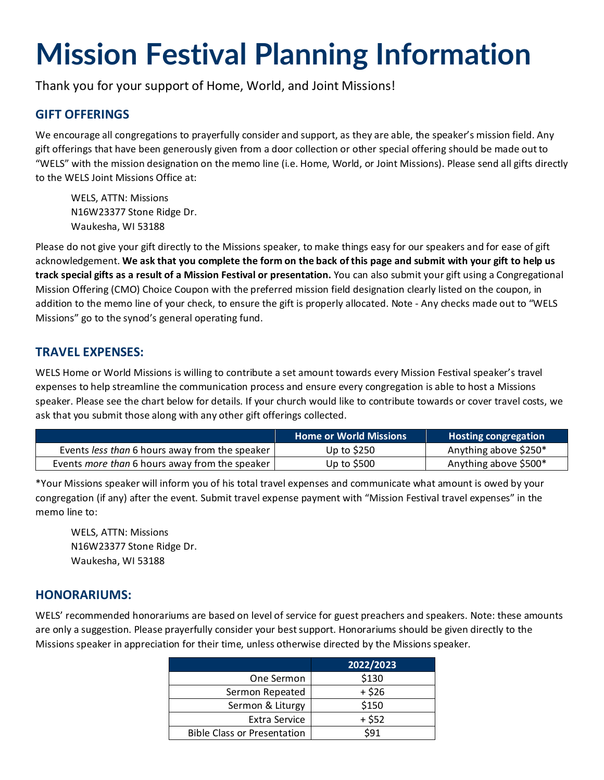# **Mission Festival Planning Information**

Thank you for your support of Home, World, and Joint Missions!

### **GIFT OFFERINGS**

We encourage all congregations to prayerfully consider and support, as they are able, the speaker's mission field. Any gift offerings that have been generously given from a door collection or other special offering should be made out to "WELS" with the mission designation on the memo line (i.e. Home, World, or Joint Missions). Please send all gifts directly to the WELS Joint Missions Office at:

WELS, ATTN: Missions N16W23377 Stone Ridge Dr. Waukesha, WI 53188

Please do not give your gift directly to the Missions speaker, to make things easy for our speakers and for ease of gift acknowledgement. **We ask that you complete the form on the back of this page and submit with your gift to help us track special gifts as a result of a Mission Festival or presentation.** You can also submit your gift using a Congregational Mission Offering (CMO) Choice Coupon with the preferred mission field designation clearly listed on the coupon, in addition to the memo line of your check, to ensure the gift is properly allocated. Note - Any checks made out to "WELS Missions" go to the synod's general operating fund.

#### **TRAVEL EXPENSES:**

WELS Home or World Missions is willing to contribute a set amount towards every Mission Festival speaker's travel expenses to help streamline the communication process and ensure every congregation is able to host a Missions speaker. Please see the chart below for details. If your church would like to contribute towards or cover travel costs, we ask that you submit those along with any other gift offerings collected.

|                                                | <b>Home or World Missions</b> | <b>Hosting congregation</b> |
|------------------------------------------------|-------------------------------|-----------------------------|
| Events less than 6 hours away from the speaker | Up to $$250$                  | Anything above \$250*       |
| Events more than 6 hours away from the speaker | Up to \$500                   | Anything above \$500*       |

\*Your Missions speaker will inform you of his total travel expenses and communicate what amount is owed by your congregation (if any) after the event. Submit travel expense payment with "Mission Festival travel expenses" in the memo line to:

WELS, ATTN: Missions N16W23377 Stone Ridge Dr. Waukesha, WI 53188

#### **HONORARIUMS:**

WELS' recommended honorariums are based on level of service for guest preachers and speakers. Note: these amounts are only a suggestion. Please prayerfully consider your best support. Honorariums should be given directly to the Missions speaker in appreciation for their time, unless otherwise directed by the Missions speaker.

|                                    | 2022/2023 |
|------------------------------------|-----------|
| One Sermon                         | \$130     |
| Sermon Repeated                    | $+ $26$   |
| Sermon & Liturgy                   | \$150     |
| Extra Service                      | $+ $52$   |
| <b>Bible Class or Presentation</b> | \$91      |